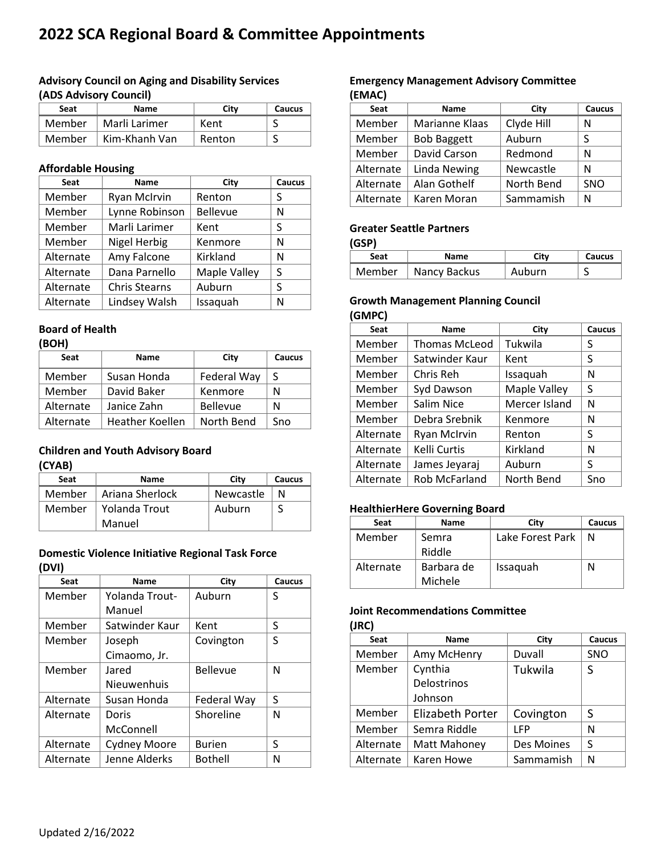# **2022 SCA Regional Board & Committee Appointments**

## **Advisory Council on Aging and Disability Services (ADS Advisory Council)**

| <b>Seat</b> | <b>Name</b>   | City   | Caucus |
|-------------|---------------|--------|--------|
| Member      | Marli Larimer | Kent   |        |
| Member      | Kim-Khanh Van | Renton |        |

#### **Affordable Housing**

| Seat      | <b>Name</b>          | City         | Caucus |
|-----------|----------------------|--------------|--------|
| Member    | <b>Ryan McIrvin</b>  | Renton       | S      |
| Member    | Lynne Robinson       | Bellevue     | N      |
| Member    | Marli Larimer        | Kent         | S      |
| Member    | Nigel Herbig         | Kenmore      | N      |
| Alternate | Amy Falcone          | Kirkland     | N      |
| Alternate | Dana Parnello        | Maple Valley | S      |
| Alternate | <b>Chris Stearns</b> | Auburn       | S      |
| Alternate | Lindsey Walsh        | Issaquah     | N      |

### **Board of Health**

| ۰.<br>۰. |  |
|----------|--|

| Seat      | Name            | City            | Caucus |
|-----------|-----------------|-----------------|--------|
| Member    | Susan Honda     | Federal Way     | S      |
| Member    | David Baker     | Kenmore         | N      |
| Alternate | Janice Zahn     | <b>Bellevue</b> | N      |
| Alternate | Heather Koellen | North Bend      | Sno    |

#### **Children and Youth Advisory Board (CYAB)**

| Seat   | <b>Name</b>     | City      | Caucus |
|--------|-----------------|-----------|--------|
| Member | Ariana Sherlock | Newcastle | N      |
| Member | Yolanda Trout   | Auburn    |        |
|        | Manuel          |           |        |

## **Domestic Violence Initiative Regional Task Force (DVI)**

| Seat      | <b>Name</b>         | City            | <b>Caucus</b> |
|-----------|---------------------|-----------------|---------------|
| Member    | Yolanda Trout-      | Auburn          | S             |
|           | Manuel              |                 |               |
| Member    | Satwinder Kaur      | Kent            | S             |
| Member    | Joseph              | Covington       | S             |
|           | Cimaomo, Jr.        |                 |               |
| Member    | Jared               | <b>Bellevue</b> | N             |
|           | Nieuwenhuis         |                 |               |
| Alternate | Susan Honda         | Federal Way     | S             |
| Alternate | Doris               | Shoreline       | N             |
|           | McConnell           |                 |               |
| Alternate | <b>Cydney Moore</b> | <b>Burien</b>   | S             |
| Alternate | Jenne Alderks       | <b>Bothell</b>  | N             |

#### **Emergency Management Advisory Committee (EMAC)**

| Seat      | <b>Name</b>        | City       | <b>Caucus</b> |
|-----------|--------------------|------------|---------------|
| Member    | Marianne Klaas     | Clyde Hill | N             |
| Member    | <b>Bob Baggett</b> | Auburn     | S             |
| Member    | David Carson       | Redmond    | N             |
| Alternate | Linda Newing       | Newcastle  | N             |
| Alternate | Alan Gothelf       | North Bend | SNO           |
| Alternate | Karen Moran        | Sammamish  | N             |

#### **Greater Seattle Partners**

**(GSP)**

| Seat   | <b>Name</b>  | Citv   | Caucus |
|--------|--------------|--------|--------|
| Member | Nancy Backus | Auburn |        |

## **Growth Management Planning Council**

**(GMPC)**

| Seat      | <b>Name</b>          | City          | Caucus |
|-----------|----------------------|---------------|--------|
| Member    | <b>Thomas McLeod</b> | Tukwila       | S      |
| Member    | Satwinder Kaur       | Kent          | S      |
| Member    | Chris Reh            | Issaquah      | N      |
| Member    | Syd Dawson           | Maple Valley  | S      |
| Member    | Salim Nice           | Mercer Island | N      |
| Member    | Debra Srebnik        | Kenmore       | N      |
| Alternate | Ryan McIrvin         | Renton        | S      |
| Alternate | Kelli Curtis         | Kirkland      | N      |
| Alternate | James Jeyaraj        | Auburn        | S      |
| Alternate | Rob McFarland        | North Bend    | Sno    |

#### **HealthierHere Governing Board**

| <b>Seat</b> | Name       | City             | Caucus |
|-------------|------------|------------------|--------|
| Member      | Semra      | Lake Forest Park | N      |
|             | Riddle     |                  |        |
| Alternate   | Barbara de | Issaquah         | N      |
|             | Michele    |                  |        |

#### **Joint Recommendations Committee (JRC)**

| Seat      | Name             | City       | Caucus |
|-----------|------------------|------------|--------|
| Member    | Amy McHenry      | Duvall     | SNO    |
| Member    | Cynthia          | Tukwila    | S      |
|           | Delostrinos      |            |        |
|           | Johnson          |            |        |
| Member    | Elizabeth Porter | Covington  | S      |
| Member    | Semra Riddle     | <b>LFP</b> | N      |
| Alternate | Matt Mahoney     | Des Moines | S      |
| Alternate | Karen Howe       | Sammamish  | N      |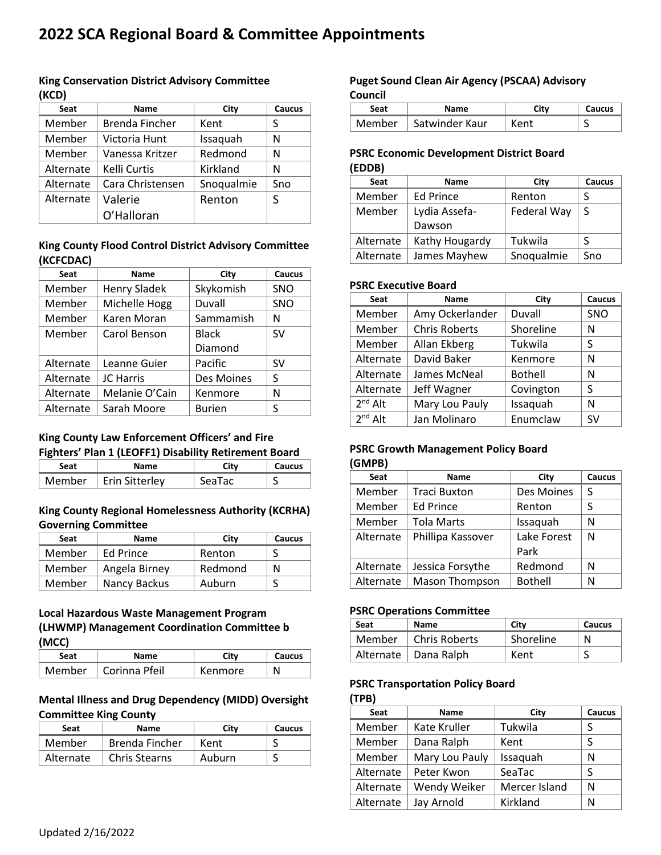# **2022 SCA Regional Board & Committee Appointments**

#### **King Conservation District Advisory Committee (KCD)**

| Seat      | <b>Name</b>      | City       | Caucus |
|-----------|------------------|------------|--------|
| Member    | Brenda Fincher   | Kent       | S      |
| Member    | Victoria Hunt    | Issaquah   | N      |
| Member    | Vanessa Kritzer  | Redmond    | N      |
| Alternate | Kelli Curtis     | Kirkland   | N      |
| Alternate | Cara Christensen | Snoqualmie | Sno    |
| Alternate | Valerie          | Renton     | S      |
|           | O'Halloran       |            |        |

## **King County Flood Control District Advisory Committee (KCFCDAC)**

| Seat      | Name                | City          | Caucus     |
|-----------|---------------------|---------------|------------|
| Member    | <b>Henry Sladek</b> | Skykomish     | <b>SNO</b> |
| Member    | Michelle Hogg       | Duvall        | SNO        |
| Member    | Karen Moran         | Sammamish     | Ν          |
| Member    | Carol Benson        | <b>Black</b>  | SV         |
|           |                     | Diamond       |            |
| Alternate | Leanne Guier        | Pacific       | <b>SV</b>  |
| Alternate | <b>JC Harris</b>    | Des Moines    | S          |
| Alternate | Melanie O'Cain      | Kenmore       | Ν          |
| Alternate | Sarah Moore         | <b>Burien</b> | S          |

### **King County Law Enforcement Officers' and Fire Fighters' Plan 1 (LEOFF1) Disability Retirement Board**

| Seat   | Name           | Citv   | Caucus |
|--------|----------------|--------|--------|
| Member | Erin Sitterley | SeaTac | ت      |

### **King County Regional Homelessness Authority (KCRHA) Governing Committee**

| Seat   | <b>Name</b>   | City    | <b>Caucus</b> |
|--------|---------------|---------|---------------|
| Member | Ed Prince     | Renton  |               |
| Member | Angela Birney | Redmond | N             |
| Member | Nancy Backus  | Auburn  |               |

## **Local Hazardous Waste Management Program (LHWMP) Management Coordination Committee b (MCC)**

| Seat   | <b>Name</b>   | Citv    | <b>Caucus</b> |
|--------|---------------|---------|---------------|
| Member | Corinna Pfeil | Kenmore | N             |

## **Mental Illness and Drug Dependency (MIDD) Oversight Committee King County**

| Seat      | Name                 | Citv   | Caucus |
|-----------|----------------------|--------|--------|
| Member    | Brenda Fincher       | Kent   |        |
| Alternate | <b>Chris Stearns</b> | Auburn | ب      |

## **Puget Sound Clean Air Agency (PSCAA) Advisory Council**

| Seat   | Name           | Citv | <b>Caucus</b> |
|--------|----------------|------|---------------|
| Member | Satwinder Kaur |      | ۰             |

### **PSRC Economic Development District Board (EDDB)**

| Seat      | <b>Name</b>      | City        | Caucus |
|-----------|------------------|-------------|--------|
| Member    | <b>Ed Prince</b> | Renton      |        |
| Member    | Lydia Assefa-    | Federal Way | S      |
|           | Dawson           |             |        |
| Alternate | Kathy Hougardy   | Tukwila     | S      |
| Alternate | James Mayhew     | Snoqualmie  | Sno    |

### **PSRC Executive Board**

| Seat         | <b>Name</b>          | City           | Caucus     |
|--------------|----------------------|----------------|------------|
| Member       | Amy Ockerlander      | Duvall         | <b>SNO</b> |
| Member       | <b>Chris Roberts</b> | Shoreline      | N          |
| Member       | Allan Ekberg         | Tukwila        | S          |
| Alternate    | David Baker          | Kenmore        | N          |
| Alternate    | James McNeal         | <b>Bothell</b> | N          |
| Alternate    | Jeff Wagner          | Covington      | S          |
| $2^{nd}$ Alt | Mary Lou Pauly       | Issaquah       | N          |
| $2nd$ Alt    | Jan Molinaro         | Enumclaw       | SV         |

#### **PSRC Growth Management Policy Board (GMPB)**

| Seat      | <b>Name</b>           | City           | Caucus |
|-----------|-----------------------|----------------|--------|
| Member    | <b>Traci Buxton</b>   | Des Moines     | S      |
| Member    | <b>Ed Prince</b>      | Renton         | S      |
| Member    | <b>Tola Marts</b>     | Issaquah       | N      |
| Alternate | Phillipa Kassover     | Lake Forest    | N      |
|           |                       | Park           |        |
| Alternate | Jessica Forsythe      | Redmond        | N      |
| Alternate | <b>Mason Thompson</b> | <b>Bothell</b> | N      |

#### **PSRC Operations Committee**

| Seat   | Name                   | City      | Caucus |
|--------|------------------------|-----------|--------|
| Member | Chris Roberts          | Shoreline | N      |
|        | Alternate   Dana Ralph | Kent      | ت      |

### **PSRC Transportation Policy Board**

#### **(TPB)**

| Seat      | <b>Name</b>    | City          | Caucus |
|-----------|----------------|---------------|--------|
| Member    | Kate Kruller   | Tukwila       | S      |
| Member    | Dana Ralph     | Kent          | S      |
| Member    | Mary Lou Pauly | Issaquah      | N      |
| Alternate | Peter Kwon     | SeaTac        | S      |
| Alternate | Wendy Weiker   | Mercer Island | N      |
| Alternate | Jay Arnold     | Kirkland      | N      |